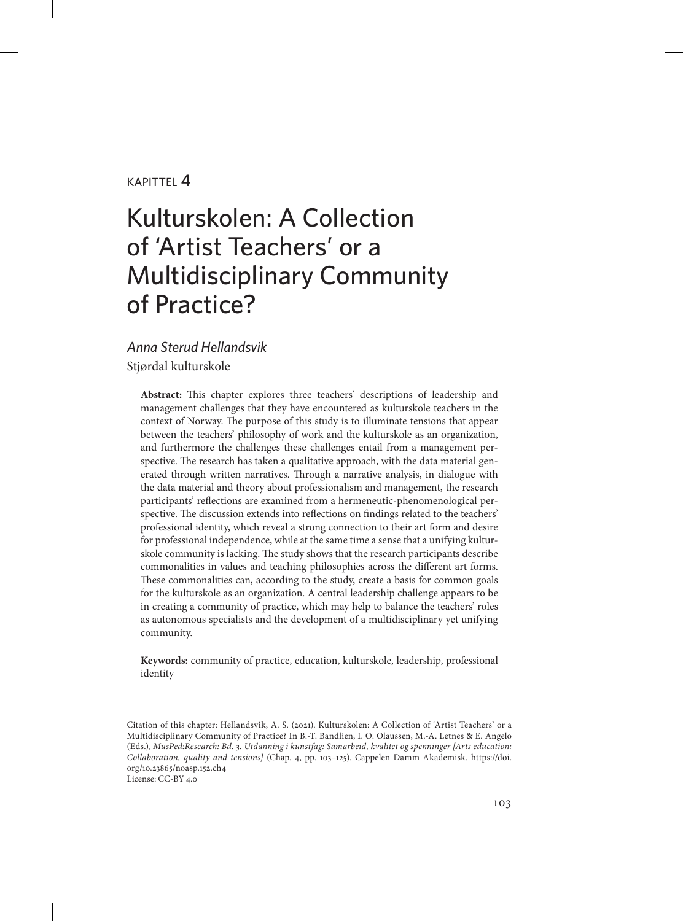#### $KAP$ ITTFI $4$

# Kulturskolen: A Collection of 'Artist Teachers' or a Multidisciplinary Community of Practice?

#### *Anna Sterud Hellandsvik*

Stjørdal kulturskole

**Abstract:** This chapter explores three teachers' descriptions of leadership and management challenges that they have encountered as kulturskole teachers in the context of Norway. The purpose of this study is to illuminate tensions that appear between the teachers' philosophy of work and the kulturskole as an organization, and furthermore the challenges these challenges entail from a management perspective. The research has taken a qualitative approach, with the data material generated through written narratives. Through a narrative analysis, in dialogue with the data material and theory about professionalism and management, the research participants' reflections are examined from a hermeneutic-phenomenological perspective. The discussion extends into reflections on findings related to the teachers' professional identity, which reveal a strong connection to their art form and desire for professional independence, while at the same time a sense that a unifying kulturskole community is lacking. The study shows that the research participants describe commonalities in values and teaching philosophies across the different art forms. These commonalities can, according to the study, create a basis for common goals for the kulturskole as an organization. A central leadership challenge appears to be in creating a community of practice, which may help to balance the teachers' roles as autonomous specialists and the development of a multidisciplinary yet unifying community.

**Keywords:** community of practice, education, kulturskole, leadership, professional identity

Citation of this chapter: Hellandsvik, A. S. (2021). Kulturskolen: A Collection of 'Artist Teachers' or a Multidisciplinary Community of Practice? In B.-T. Bandlien, I. O. Olaussen, M.-A. Letnes & E. Angelo (Eds.), *MusPed:Research: Bd. 3. Utdanning i kunstfag: Samarbeid, kvalitet og spenninger [Arts education: Collaboration, quality and tensions]* (Chap. 4, pp. 103–125). Cappelen Damm Akademisk. [https://doi.](https://doi.org/10.23865/noasp.152.ch4) [org/10.23865/noasp.152.ch4](https://doi.org/10.23865/noasp.152.ch4) License: CC-BY 4.0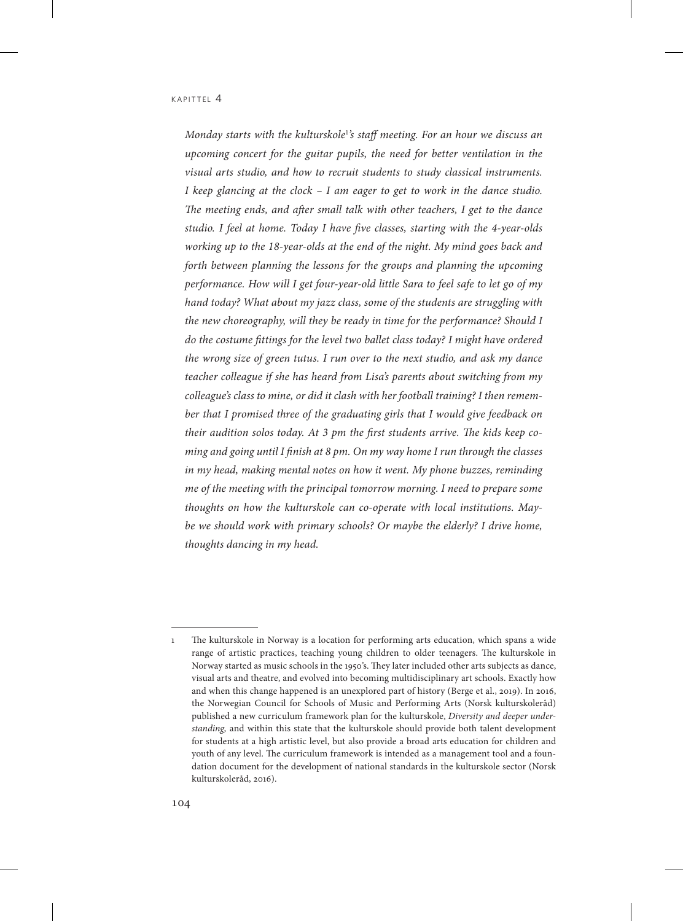*Monday starts with the kulturskole*<sup>1</sup> *'s staff meeting. For an hour we discuss an upcoming concert for the guitar pupils, the need for better ventilation in the visual arts studio, and how to recruit students to study classical instruments. I keep glancing at the clock – I am eager to get to work in the dance studio. The meeting ends, and after small talk with other teachers, I get to the dance studio. I feel at home. Today I have five classes, starting with the 4-year-olds working up to the 18-year-olds at the end of the night. My mind goes back and forth between planning the lessons for the groups and planning the upcoming performance. How will I get four-year-old little Sara to feel safe to let go of my hand today? What about my jazz class, some of the students are struggling with the new choreography, will they be ready in time for the performance? Should I do the costume fittings for the level two ballet class today? I might have ordered the wrong size of green tutus. I run over to the next studio, and ask my dance teacher colleague if she has heard from Lisa's parents about switching from my colleague's class to mine, or did it clash with her football training? I then remem*ber that I promised three of the graduating girls that I would give feedback on *their audition solos today. At 3 pm the first students arrive. The kids keep coming and going until I finish at 8 pm. On my way home I run through the classes in my head, making mental notes on how it went. My phone buzzes, reminding me of the meeting with the principal tomorrow morning. I need to prepare some thoughts on how the kulturskole can co-operate with local institutions. Maybe we should work with primary schools? Or maybe the elderly? I drive home, thoughts dancing in my head.* 

<sup>1</sup> The kulturskole in Norway is a location for performing arts education, which spans a wide range of artistic practices, teaching young children to older teenagers. The kulturskole in Norway started as music schools in the 1950's. They later included other arts subjects as dance, visual arts and theatre, and evolved into becoming multidisciplinary art schools. Exactly how and when this change happened is an unexplored part of history (Berge et al., 2019). In 2016, the Norwegian Council for Schools of Music and Performing Arts (Norsk kulturskoleråd) published a new curriculum framework plan for the kulturskole, *Diversity and deeper understanding,* and within this state that the kulturskole should provide both talent development for students at a high artistic level, but also provide a broad arts education for children and youth of any level. The curriculum framework is intended as a management tool and a foundation document for the development of national standards in the kulturskole sector (Norsk kulturskoleråd, 2016).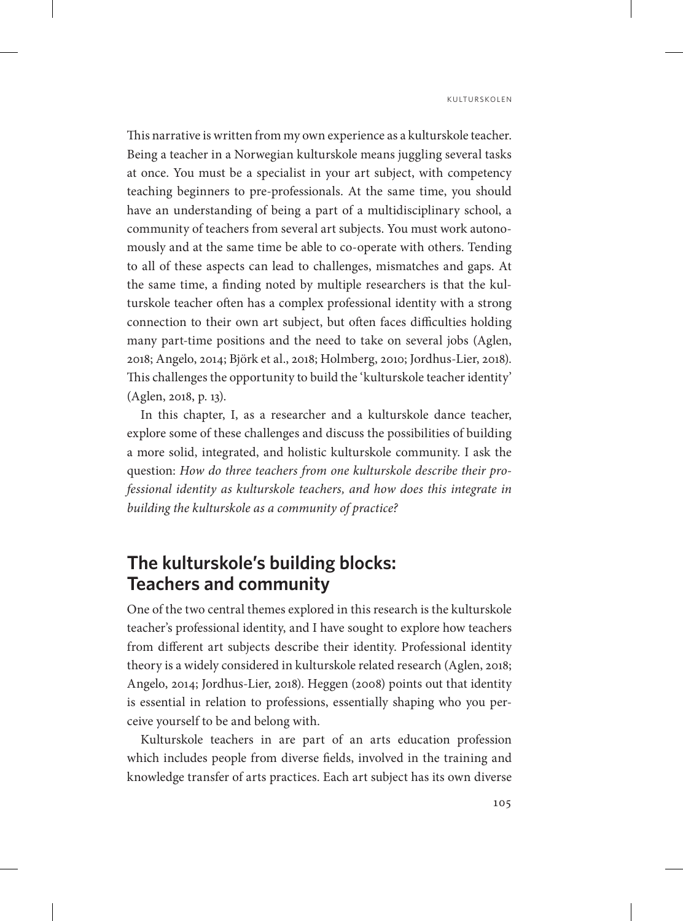This narrative is written from my own experience as a kulturskole teacher. Being a teacher in a Norwegian kulturskole means juggling several tasks at once. You must be a specialist in your art subject, with competency teaching beginners to pre-professionals. At the same time, you should have an understanding of being a part of a multidisciplinary school, a community of teachers from several art subjects. You must work autonomously and at the same time be able to co-operate with others. Tending to all of these aspects can lead to challenges, mismatches and gaps. At the same time, a finding noted by multiple researchers is that the kulturskole teacher often has a complex professional identity with a strong connection to their own art subject, but often faces difficulties holding many part-time positions and the need to take on several jobs (Aglen, 2018; Angelo, 2014; Björk et al., 2018; Holmberg, 2010; Jordhus-Lier, 2018). This challenges the opportunity to build the 'kulturskole teacher identity' (Aglen, 2018, p. 13).

In this chapter, I, as a researcher and a kulturskole dance teacher, explore some of these challenges and discuss the possibilities of building a more solid, integrated, and holistic kulturskole community. I ask the question: *How do three teachers from one kulturskole describe their professional identity as kulturskole teachers, and how does this integrate in building the kulturskole as a community of practice?*

# **The kulturskole's building blocks: Teachers and community**

One of the two central themes explored in this research is the kulturskole teacher's professional identity, and I have sought to explore how teachers from different art subjects describe their identity. Professional identity theory is a widely considered in kulturskole related research (Aglen, 2018; Angelo, 2014; Jordhus-Lier, 2018). Heggen (2008) points out that identity is essential in relation to professions, essentially shaping who you perceive yourself to be and belong with.

Kulturskole teachers in are part of an arts education profession which includes people from diverse fields, involved in the training and knowledge transfer of arts practices. Each art subject has its own diverse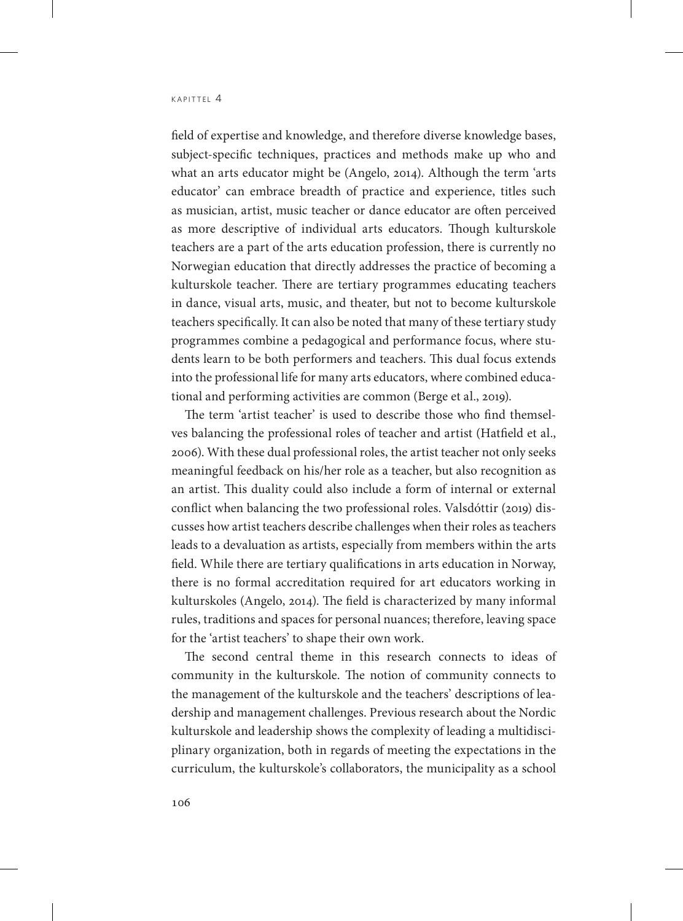field of expertise and knowledge, and therefore diverse knowledge bases, subject-specific techniques, practices and methods make up who and what an arts educator might be (Angelo, 2014). Although the term 'arts educator' can embrace breadth of practice and experience, titles such as musician, artist, music teacher or dance educator are often perceived as more descriptive of individual arts educators. Though kulturskole teachers are a part of the arts education profession, there is currently no Norwegian education that directly addresses the practice of becoming a kulturskole teacher. There are tertiary programmes educating teachers in dance, visual arts, music, and theater, but not to become kulturskole teachers specifically. It can also be noted that many of these tertiary study programmes combine a pedagogical and performance focus, where students learn to be both performers and teachers. This dual focus extends into the professional life for many arts educators, where combined educational and performing activities are common (Berge et al., 2019).

The term 'artist teacher' is used to describe those who find themselves balancing the professional roles of teacher and artist (Hatfield et al., 2006). With these dual professional roles, the artist teacher not only seeks meaningful feedback on his/her role as a teacher, but also recognition as an artist. This duality could also include a form of internal or external conflict when balancing the two professional roles. Valsdóttir (2019) discusses how artist teachers describe challenges when their roles as teachers leads to a devaluation as artists, especially from members within the arts field. While there are tertiary qualifications in arts education in Norway, there is no formal accreditation required for art educators working in kulturskoles (Angelo, 2014). The field is characterized by many informal rules, traditions and spaces for personal nuances; therefore, leaving space for the 'artist teachers' to shape their own work.

The second central theme in this research connects to ideas of community in the kulturskole. The notion of community connects to the management of the kulturskole and the teachers' descriptions of leadership and management challenges. Previous research about the Nordic kulturskole and leadership shows the complexity of leading a multidisciplinary organization, both in regards of meeting the expectations in the curriculum, the kulturskole's collaborators, the municipality as a school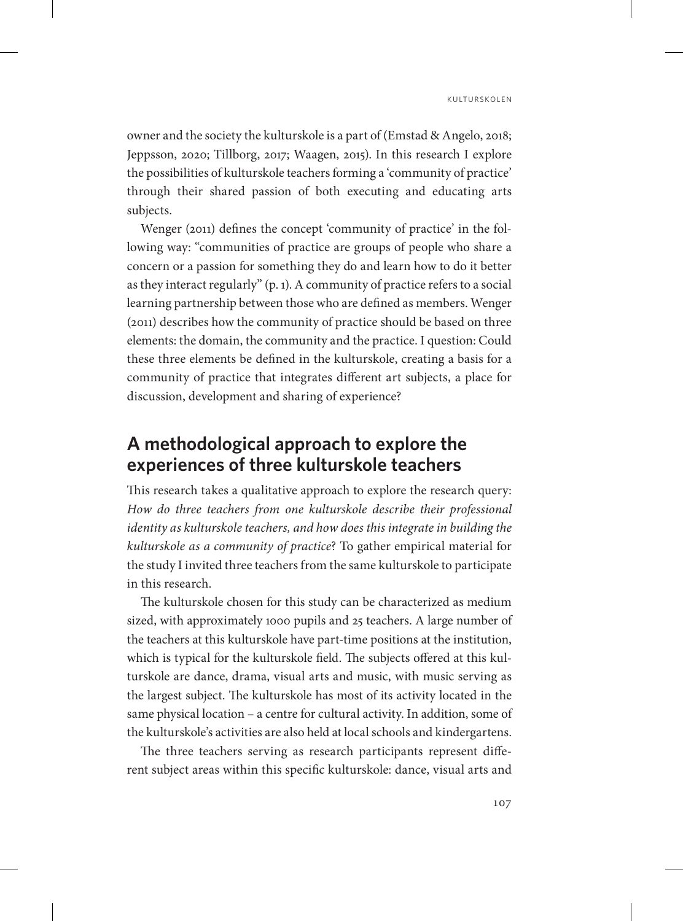owner and the society the kulturskole is a part of (Emstad & Angelo, 2018; Jeppsson, 2020; Tillborg, 2017; Waagen, 2015). In this research I explore the possibilities of kulturskole teachers forming a 'community of practice' through their shared passion of both executing and educating arts subjects.

Wenger (2011) defines the concept 'community of practice' in the following way: "communities of practice are groups of people who share a concern or a passion for something they do and learn how to do it better as they interact regularly" (p. 1). A community of practice refers to a social learning partnership between those who are defined as members. Wenger (2011) describes how the community of practice should be based on three elements: the domain, the community and the practice. I question: Could these three elements be defined in the kulturskole, creating a basis for a community of practice that integrates different art subjects, a place for discussion, development and sharing of experience?

# **A methodological approach to explore the experiences of three kulturskole teachers**

This research takes a qualitative approach to explore the research query: *How do three teachers from one kulturskole describe their professional identity as kulturskole teachers, and how does this integrate in building the kulturskole as a community of practice*? To gather empirical material for the study I invited three teachers from the same kulturskole to participate in this research.

The kulturskole chosen for this study can be characterized as medium sized, with approximately 1000 pupils and 25 teachers. A large number of the teachers at this kulturskole have part-time positions at the institution, which is typical for the kulturskole field. The subjects offered at this kulturskole are dance, drama, visual arts and music, with music serving as the largest subject. The kulturskole has most of its activity located in the same physical location – a centre for cultural activity. In addition, some of the kulturskole's activities are also held at local schools and kindergartens.

The three teachers serving as research participants represent different subject areas within this specific kulturskole: dance, visual arts and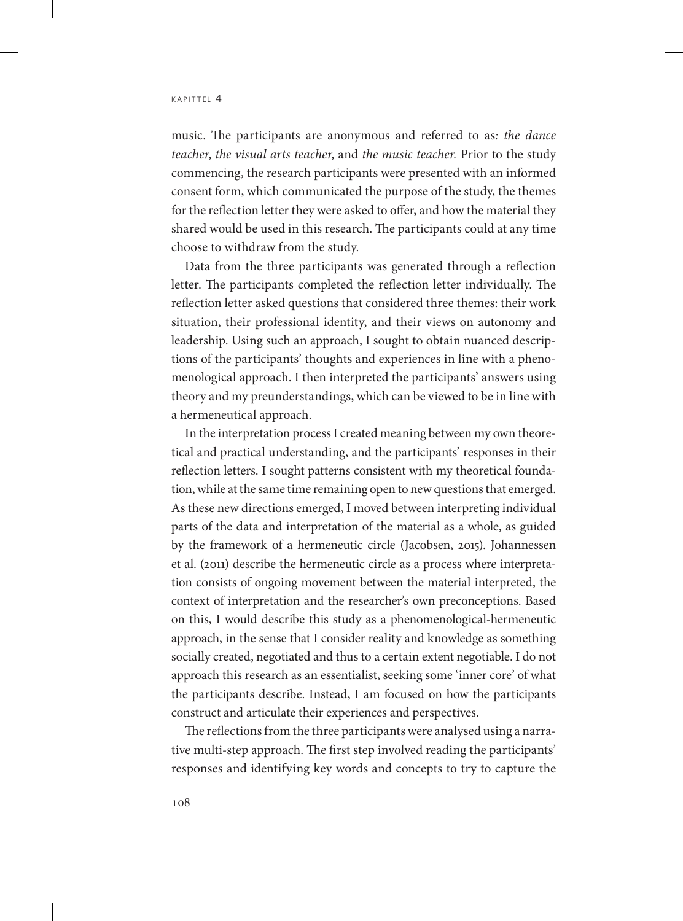music. The participants are anonymous and referred to as*: the dance teacher*, *the visual arts teacher*, and *the music teacher.* Prior to the study commencing, the research participants were presented with an informed consent form, which communicated the purpose of the study, the themes for the reflection letter they were asked to offer, and how the material they shared would be used in this research. The participants could at any time choose to withdraw from the study.

Data from the three participants was generated through a reflection letter. The participants completed the reflection letter individually. The reflection letter asked questions that considered three themes: their work situation, their professional identity, and their views on autonomy and leadership. Using such an approach, I sought to obtain nuanced descriptions of the participants' thoughts and experiences in line with a phenomenological approach. I then interpreted the participants' answers using theory and my preunderstandings, which can be viewed to be in line with a hermeneutical approach.

In the interpretation process I created meaning between my own theoretical and practical understanding, and the participants' responses in their reflection letters. I sought patterns consistent with my theoretical foundation, while at the same time remaining open to new questions that emerged. As these new directions emerged, I moved between interpreting individual parts of the data and interpretation of the material as a whole, as guided by the framework of a hermeneutic circle (Jacobsen, 2015). Johannessen et al. (2011) describe the hermeneutic circle as a process where interpretation consists of ongoing movement between the material interpreted, the context of interpretation and the researcher's own preconceptions. Based on this, I would describe this study as a phenomenological-hermeneutic approach, in the sense that I consider reality and knowledge as something socially created, negotiated and thus to a certain extent negotiable. I do not approach this research as an essentialist, seeking some 'inner core' of what the participants describe. Instead, I am focused on how the participants construct and articulate their experiences and perspectives.

The reflections from the three participants were analysed using a narrative multi-step approach. The first step involved reading the participants' responses and identifying key words and concepts to try to capture the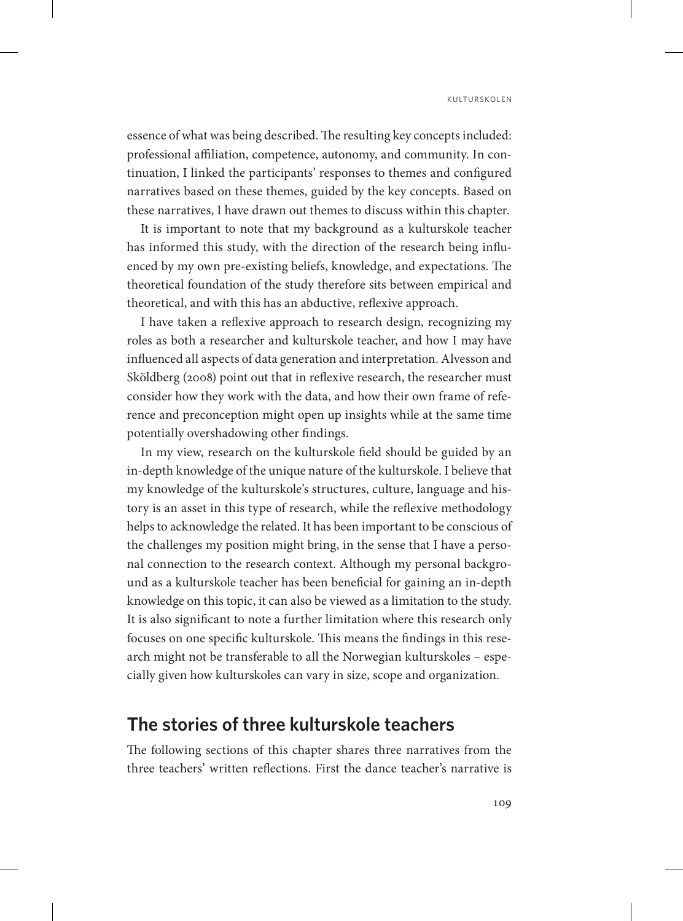essence of what was being described. The resulting key concepts included: professional affiliation, competence, autonomy, and community. In continuation, I linked the participants' responses to themes and configured narratives based on these themes, guided by the key concepts. Based on these narratives, I have drawn out themes to discuss within this chapter.

It is important to note that my background as a kulturskole teacher has informed this study, with the direction of the research being influenced by my own pre-existing beliefs, knowledge, and expectations. The theoretical foundation of the study therefore sits between empirical and theoretical, and with this has an abductive, reflexive approach.

I have taken a reflexive approach to research design, recognizing my roles as both a researcher and kulturskole teacher, and how I may have influenced all aspects of data generation and interpretation. Alvesson and Sköldberg (2008) point out that in reflexive research, the researcher must consider how they work with the data, and how their own frame of reference and preconception might open up insights while at the same time potentially overshadowing other findings.

In my view, research on the kulturskole field should be guided by an in-depth knowledge of the unique nature of the kulturskole. I believe that my knowledge of the kulturskole's structures, culture, language and history is an asset in this type of research, while the reflexive methodology helps to acknowledge the related. It has been important to be conscious of the challenges my position might bring, in the sense that I have a personal connection to the research context. Although my personal background as a kulturskole teacher has been beneficial for gaining an in-depth knowledge on this topic, it can also be viewed as a limitation to the study. It is also significant to note a further limitation where this research only focuses on one specific kulturskole. This means the findings in this research might not be transferable to all the Norwegian kulturskoles – especially given how kulturskoles can vary in size, scope and organization.

# **The stories of three kulturskole teachers**

The following sections of this chapter shares three narratives from the three teachers' written reflections. First the dance teacher's narrative is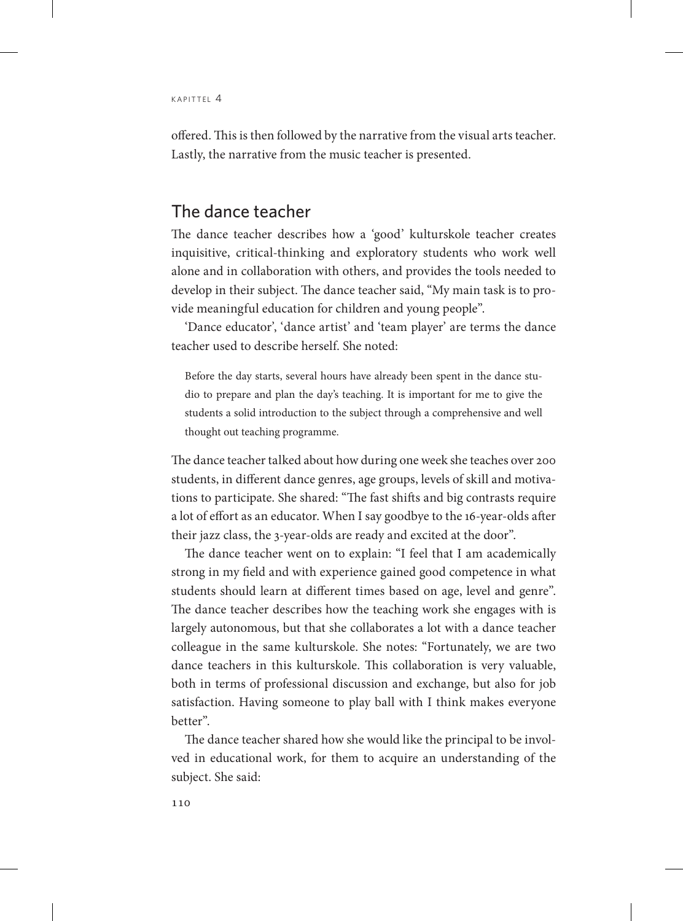offered. This is then followed by the narrative from the visual arts teacher. Lastly, the narrative from the music teacher is presented.

### The dance teacher

The dance teacher describes how a 'good' kulturskole teacher creates inquisitive, critical-thinking and exploratory students who work well alone and in collaboration with others, and provides the tools needed to develop in their subject. The dance teacher said, "My main task is to provide meaningful education for children and young people".

'Dance educator', 'dance artist' and 'team player' are terms the dance teacher used to describe herself. She noted:

Before the day starts, several hours have already been spent in the dance studio to prepare and plan the day's teaching. It is important for me to give the students a solid introduction to the subject through a comprehensive and well thought out teaching programme.

The dance teacher talked about how during one week she teaches over 200 students, in different dance genres, age groups, levels of skill and motivations to participate. She shared: "The fast shifts and big contrasts require a lot of effort as an educator. When I say goodbye to the 16-year-olds after their jazz class, the 3-year-olds are ready and excited at the door".

The dance teacher went on to explain: "I feel that I am academically strong in my field and with experience gained good competence in what students should learn at different times based on age, level and genre". The dance teacher describes how the teaching work she engages with is largely autonomous, but that she collaborates a lot with a dance teacher colleague in the same kulturskole. She notes: "Fortunately, we are two dance teachers in this kulturskole. This collaboration is very valuable, both in terms of professional discussion and exchange, but also for job satisfaction. Having someone to play ball with I think makes everyone better".

The dance teacher shared how she would like the principal to be involved in educational work, for them to acquire an understanding of the subject. She said: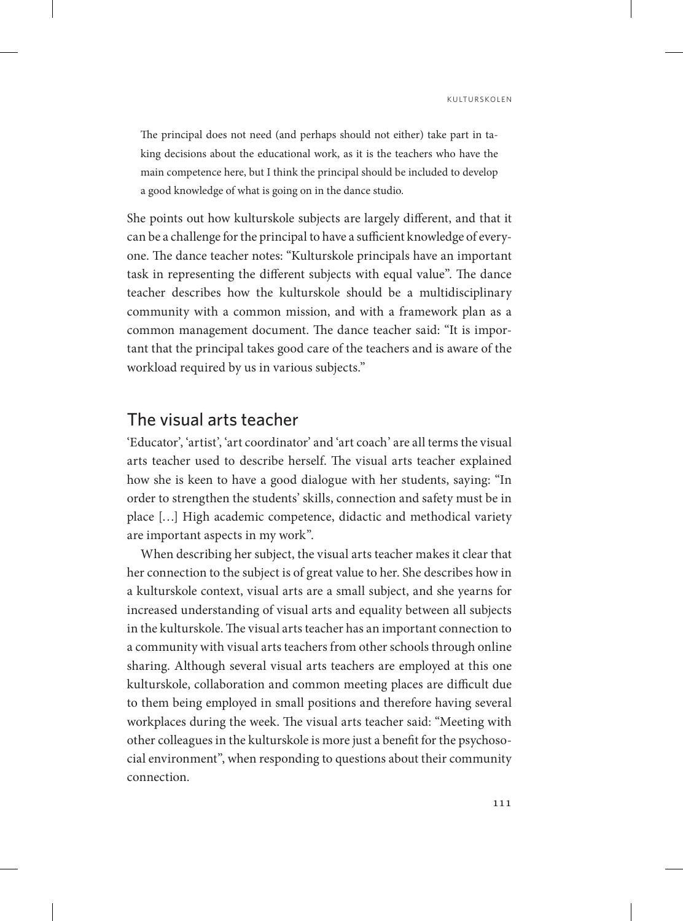The principal does not need (and perhaps should not either) take part in taking decisions about the educational work, as it is the teachers who have the main competence here, but I think the principal should be included to develop a good knowledge of what is going on in the dance studio.

She points out how kulturskole subjects are largely different, and that it can be a challenge for the principal to have a sufficient knowledge of everyone. The dance teacher notes: "Kulturskole principals have an important task in representing the different subjects with equal value". The dance teacher describes how the kulturskole should be a multidisciplinary community with a common mission, and with a framework plan as a common management document. The dance teacher said: "It is important that the principal takes good care of the teachers and is aware of the workload required by us in various subjects."

### The visual arts teacher

'Educator', 'artist', 'art coordinator' and 'art coach' are all terms the visual arts teacher used to describe herself. The visual arts teacher explained how she is keen to have a good dialogue with her students, saying: "In order to strengthen the students' skills, connection and safety must be in place […] High academic competence, didactic and methodical variety are important aspects in my work".

When describing her subject, the visual arts teacher makes it clear that her connection to the subject is of great value to her. She describes how in a kulturskole context, visual arts are a small subject, and she yearns for increased understanding of visual arts and equality between all subjects in the kulturskole. The visual arts teacher has an important connection to a community with visual arts teachers from other schools through online sharing. Although several visual arts teachers are employed at this one kulturskole, collaboration and common meeting places are difficult due to them being employed in small positions and therefore having several workplaces during the week. The visual arts teacher said: "Meeting with other colleagues in the kulturskole is more just a benefit for the psychosocial environment", when responding to questions about their community connection.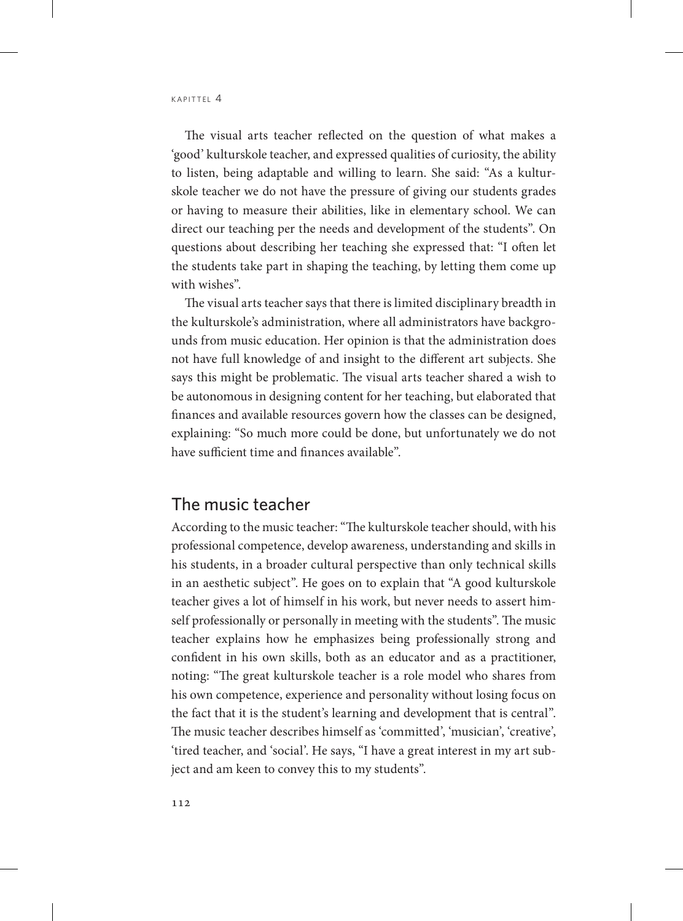The visual arts teacher reflected on the question of what makes a 'good' kulturskole teacher, and expressed qualities of curiosity, the ability to listen, being adaptable and willing to learn. She said: "As a kulturskole teacher we do not have the pressure of giving our students grades or having to measure their abilities, like in elementary school. We can direct our teaching per the needs and development of the students". On questions about describing her teaching she expressed that: "I often let the students take part in shaping the teaching, by letting them come up with wishes".

The visual arts teacher says that there is limited disciplinary breadth in the kulturskole's administration, where all administrators have backgrounds from music education. Her opinion is that the administration does not have full knowledge of and insight to the different art subjects. She says this might be problematic. The visual arts teacher shared a wish to be autonomous in designing content for her teaching, but elaborated that finances and available resources govern how the classes can be designed, explaining: "So much more could be done, but unfortunately we do not have sufficient time and finances available".

### The music teacher

According to the music teacher: "The kulturskole teacher should, with his professional competence, develop awareness, understanding and skills in his students, in a broader cultural perspective than only technical skills in an aesthetic subject". He goes on to explain that "A good kulturskole teacher gives a lot of himself in his work, but never needs to assert himself professionally or personally in meeting with the students". The music teacher explains how he emphasizes being professionally strong and confident in his own skills, both as an educator and as a practitioner, noting: "The great kulturskole teacher is a role model who shares from his own competence, experience and personality without losing focus on the fact that it is the student's learning and development that is central". The music teacher describes himself as 'committed', 'musician', 'creative', 'tired teacher, and 'social'. He says, "I have a great interest in my art subject and am keen to convey this to my students".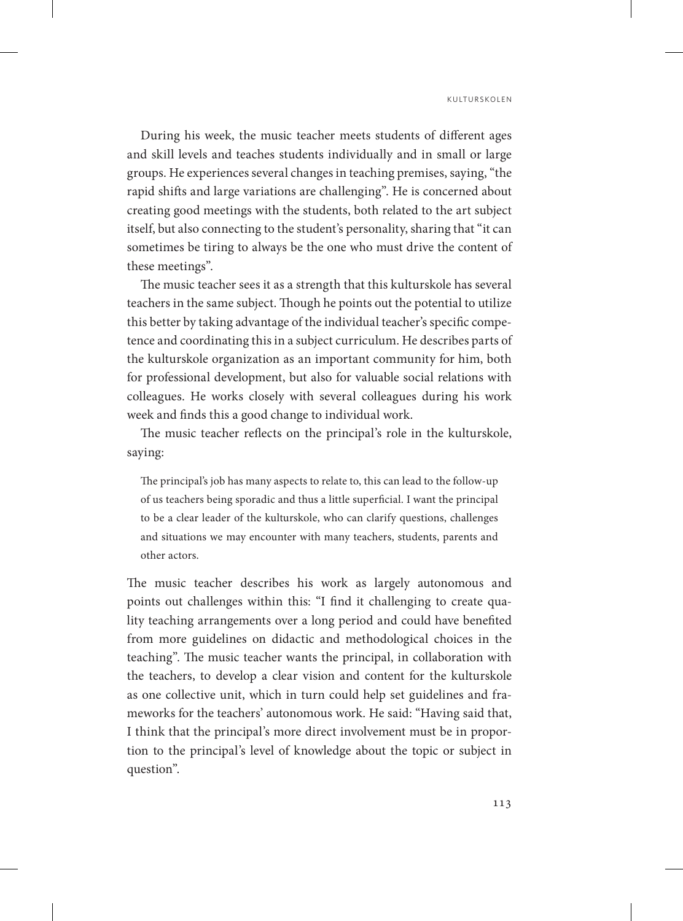During his week, the music teacher meets students of different ages and skill levels and teaches students individually and in small or large groups. He experiences several changes in teaching premises, saying, "the rapid shifts and large variations are challenging". He is concerned about creating good meetings with the students, both related to the art subject itself, but also connecting to the student's personality, sharing that "it can sometimes be tiring to always be the one who must drive the content of these meetings".

The music teacher sees it as a strength that this kulturskole has several teachers in the same subject. Though he points out the potential to utilize this better by taking advantage of the individual teacher's specific competence and coordinating this in a subject curriculum. He describes parts of the kulturskole organization as an important community for him, both for professional development, but also for valuable social relations with colleagues. He works closely with several colleagues during his work week and finds this a good change to individual work.

The music teacher reflects on the principal's role in the kulturskole, saying:

The principal's job has many aspects to relate to, this can lead to the follow-up of us teachers being sporadic and thus a little superficial. I want the principal to be a clear leader of the kulturskole, who can clarify questions, challenges and situations we may encounter with many teachers, students, parents and other actors.

The music teacher describes his work as largely autonomous and points out challenges within this: "I find it challenging to create quality teaching arrangements over a long period and could have benefited from more guidelines on didactic and methodological choices in the teaching". The music teacher wants the principal, in collaboration with the teachers, to develop a clear vision and content for the kulturskole as one collective unit, which in turn could help set guidelines and frameworks for the teachers' autonomous work. He said: "Having said that, I think that the principal's more direct involvement must be in proportion to the principal's level of knowledge about the topic or subject in question".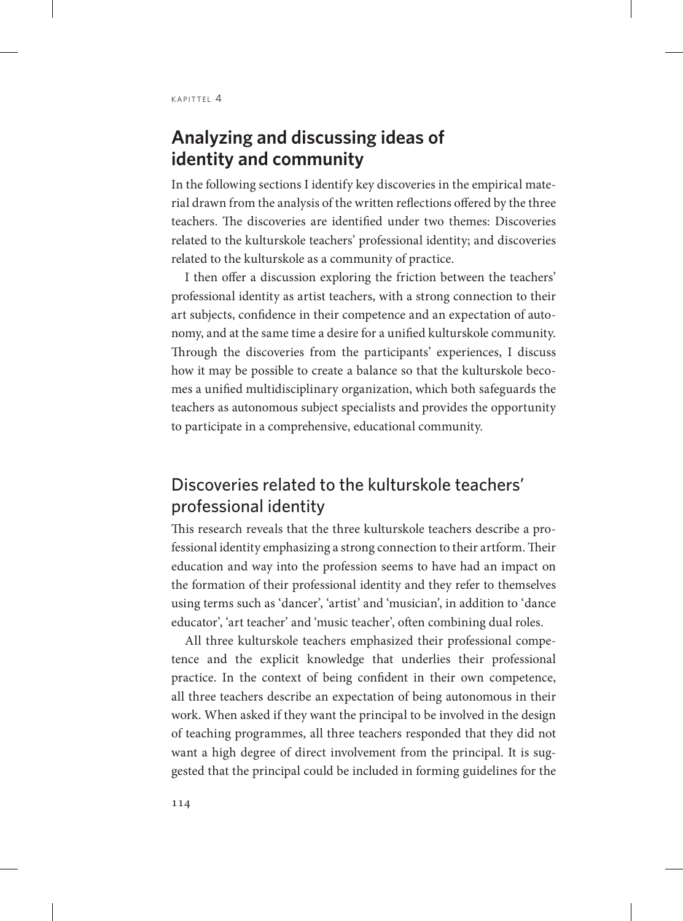# **Analyzing and discussing ideas of identity and community**

In the following sections I identify key discoveries in the empirical material drawn from the analysis of the written reflections offered by the three teachers. The discoveries are identified under two themes: Discoveries related to the kulturskole teachers' professional identity; and discoveries related to the kulturskole as a community of practice.

I then offer a discussion exploring the friction between the teachers' professional identity as artist teachers, with a strong connection to their art subjects, confidence in their competence and an expectation of autonomy, and at the same time a desire for a unified kulturskole community. Through the discoveries from the participants' experiences, I discuss how it may be possible to create a balance so that the kulturskole becomes a unified multidisciplinary organization, which both safeguards the teachers as autonomous subject specialists and provides the opportunity to participate in a comprehensive, educational community.

# Discoveries related to the kulturskole teachers' professional identity

This research reveals that the three kulturskole teachers describe a professional identity emphasizing a strong connection to their artform. Their education and way into the profession seems to have had an impact on the formation of their professional identity and they refer to themselves using terms such as 'dancer', 'artist' and 'musician', in addition to 'dance educator', 'art teacher' and 'music teacher', often combining dual roles.

All three kulturskole teachers emphasized their professional competence and the explicit knowledge that underlies their professional practice. In the context of being confident in their own competence, all three teachers describe an expectation of being autonomous in their work. When asked if they want the principal to be involved in the design of teaching programmes, all three teachers responded that they did not want a high degree of direct involvement from the principal. It is suggested that the principal could be included in forming guidelines for the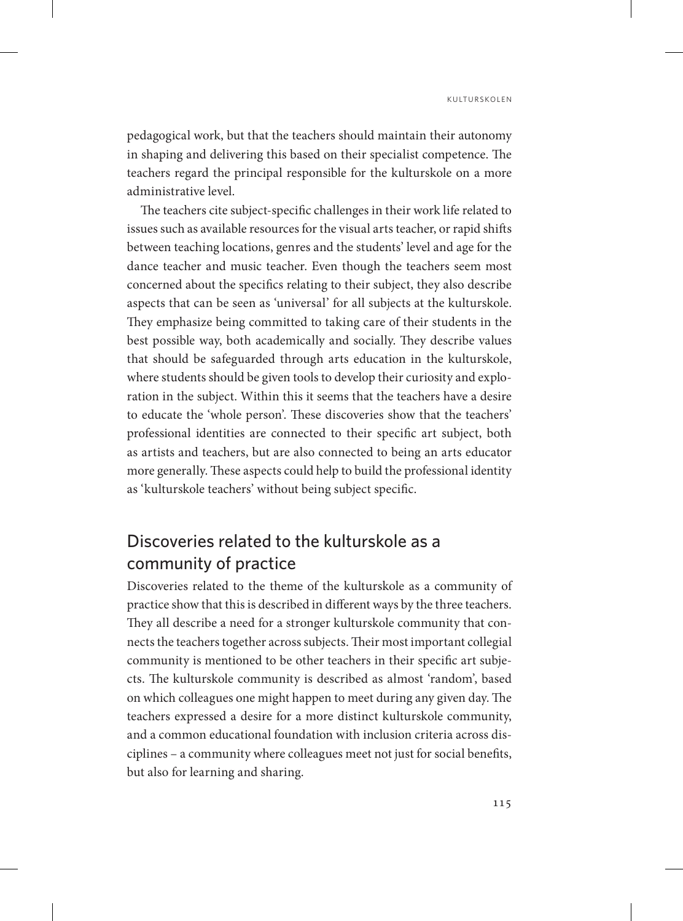pedagogical work, but that the teachers should maintain their autonomy in shaping and delivering this based on their specialist competence. The teachers regard the principal responsible for the kulturskole on a more administrative level.

The teachers cite subject-specific challenges in their work life related to issues such as available resources for the visual arts teacher, or rapid shifts between teaching locations, genres and the students' level and age for the dance teacher and music teacher. Even though the teachers seem most concerned about the specifics relating to their subject, they also describe aspects that can be seen as 'universal' for all subjects at the kulturskole. They emphasize being committed to taking care of their students in the best possible way, both academically and socially. They describe values that should be safeguarded through arts education in the kulturskole, where students should be given tools to develop their curiosity and exploration in the subject. Within this it seems that the teachers have a desire to educate the 'whole person'. These discoveries show that the teachers' professional identities are connected to their specific art subject, both as artists and teachers, but are also connected to being an arts educator more generally. These aspects could help to build the professional identity as 'kulturskole teachers' without being subject specific.

# Discoveries related to the kulturskole as a community of practice

Discoveries related to the theme of the kulturskole as a community of practice show that this is described in different ways by the three teachers. They all describe a need for a stronger kulturskole community that connects the teachers together across subjects. Their most important collegial community is mentioned to be other teachers in their specific art subjects. The kulturskole community is described as almost 'random', based on which colleagues one might happen to meet during any given day. The teachers expressed a desire for a more distinct kulturskole community, and a common educational foundation with inclusion criteria across disciplines – a community where colleagues meet not just for social benefits, but also for learning and sharing.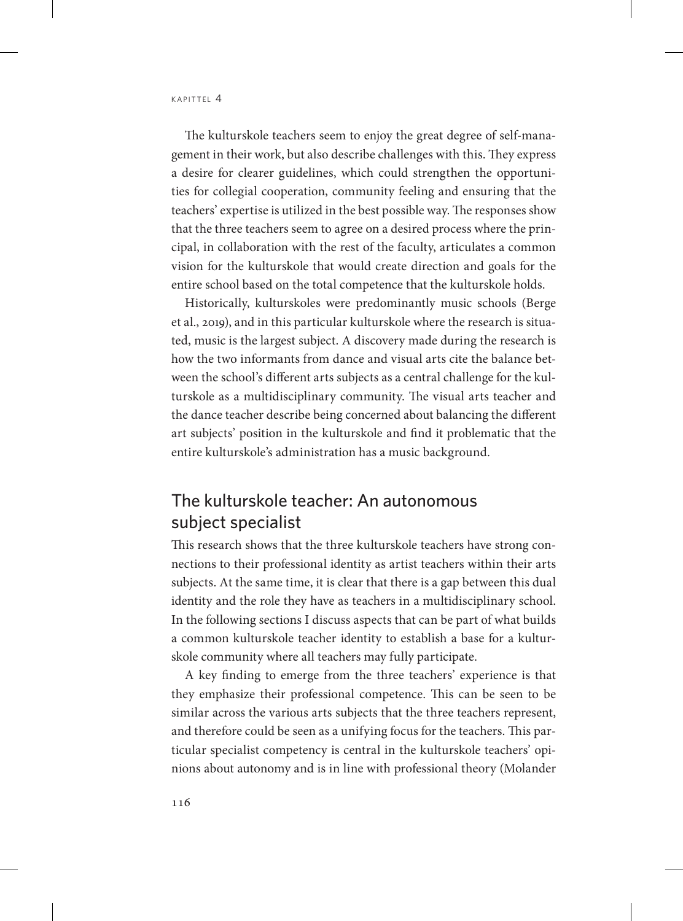The kulturskole teachers seem to enjoy the great degree of self-management in their work, but also describe challenges with this. They express a desire for clearer guidelines, which could strengthen the opportunities for collegial cooperation, community feeling and ensuring that the teachers' expertise is utilized in the best possible way. The responses show that the three teachers seem to agree on a desired process where the principal, in collaboration with the rest of the faculty, articulates a common vision for the kulturskole that would create direction and goals for the entire school based on the total competence that the kulturskole holds.

Historically, kulturskoles were predominantly music schools (Berge et al., 2019), and in this particular kulturskole where the research is situated, music is the largest subject. A discovery made during the research is how the two informants from dance and visual arts cite the balance between the school's different arts subjects as a central challenge for the kulturskole as a multidisciplinary community. The visual arts teacher and the dance teacher describe being concerned about balancing the different art subjects' position in the kulturskole and find it problematic that the entire kulturskole's administration has a music background.

# The kulturskole teacher: An autonomous subject specialist

This research shows that the three kulturskole teachers have strong connections to their professional identity as artist teachers within their arts subjects. At the same time, it is clear that there is a gap between this dual identity and the role they have as teachers in a multidisciplinary school. In the following sections I discuss aspects that can be part of what builds a common kulturskole teacher identity to establish a base for a kulturskole community where all teachers may fully participate.

A key finding to emerge from the three teachers' experience is that they emphasize their professional competence. This can be seen to be similar across the various arts subjects that the three teachers represent, and therefore could be seen as a unifying focus for the teachers. This particular specialist competency is central in the kulturskole teachers' opinions about autonomy and is in line with professional theory (Molander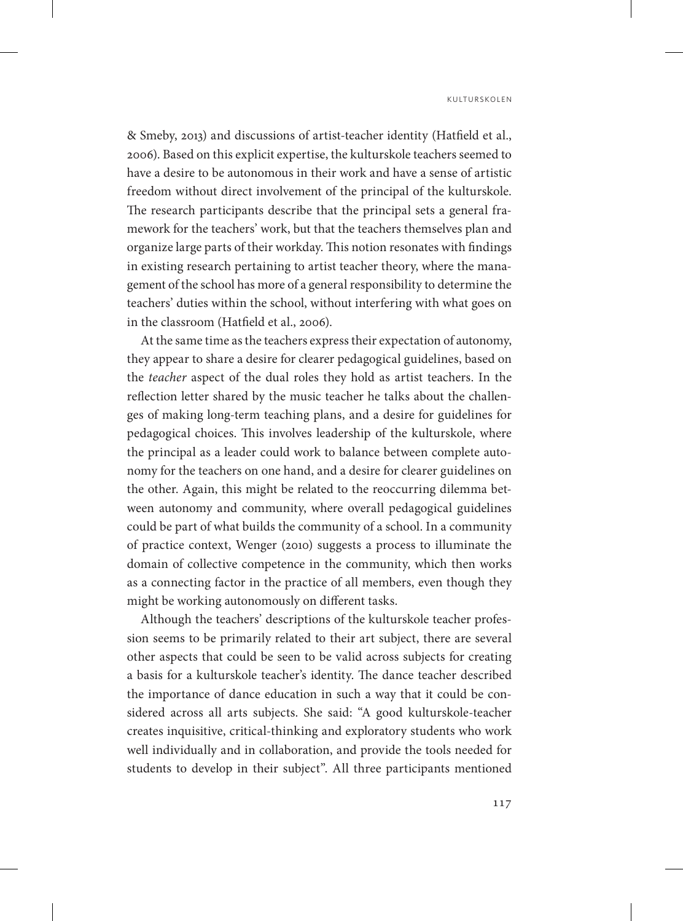& Smeby, 2013) and discussions of artist-teacher identity (Hatfield et al., 2006). Based on this explicit expertise, the kulturskole teachers seemed to have a desire to be autonomous in their work and have a sense of artistic freedom without direct involvement of the principal of the kulturskole. The research participants describe that the principal sets a general framework for the teachers' work, but that the teachers themselves plan and organize large parts of their workday. This notion resonates with findings in existing research pertaining to artist teacher theory, where the management of the school has more of a general responsibility to determine the teachers' duties within the school, without interfering with what goes on in the classroom (Hatfield et al., 2006).

At the same time as the teachers express their expectation of autonomy, they appear to share a desire for clearer pedagogical guidelines, based on the *teacher* aspect of the dual roles they hold as artist teachers. In the reflection letter shared by the music teacher he talks about the challenges of making long-term teaching plans, and a desire for guidelines for pedagogical choices. This involves leadership of the kulturskole, where the principal as a leader could work to balance between complete autonomy for the teachers on one hand, and a desire for clearer guidelines on the other. Again, this might be related to the reoccurring dilemma between autonomy and community, where overall pedagogical guidelines could be part of what builds the community of a school. In a community of practice context, Wenger (2010) suggests a process to illuminate the domain of collective competence in the community, which then works as a connecting factor in the practice of all members, even though they might be working autonomously on different tasks.

Although the teachers' descriptions of the kulturskole teacher profession seems to be primarily related to their art subject, there are several other aspects that could be seen to be valid across subjects for creating a basis for a kulturskole teacher's identity. The dance teacher described the importance of dance education in such a way that it could be considered across all arts subjects. She said: "A good kulturskole-teacher creates inquisitive, critical-thinking and exploratory students who work well individually and in collaboration, and provide the tools needed for students to develop in their subject". All three participants mentioned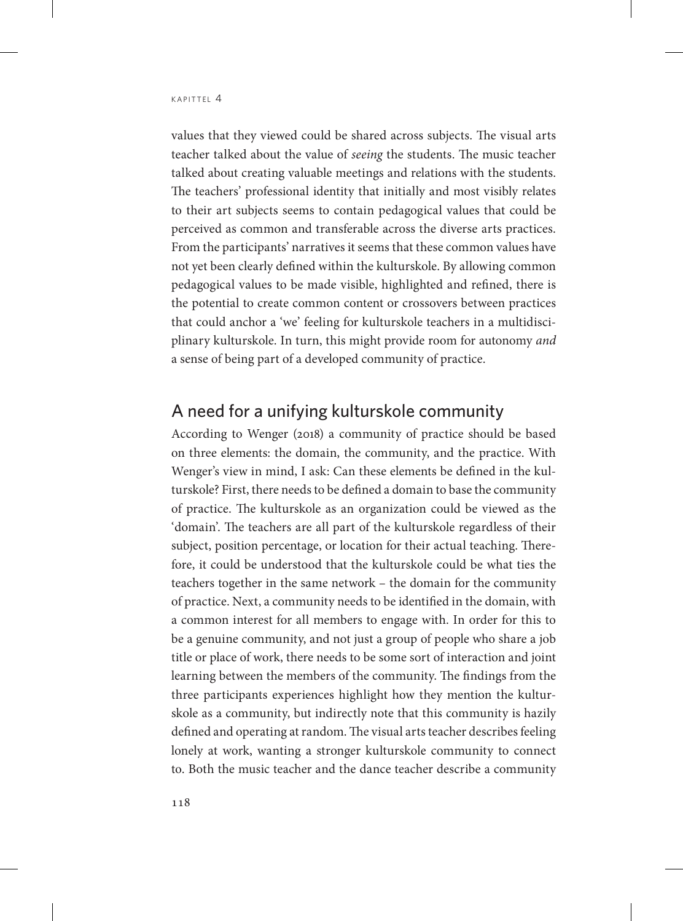values that they viewed could be shared across subjects. The visual arts teacher talked about the value of *seeing* the students. The music teacher talked about creating valuable meetings and relations with the students. The teachers' professional identity that initially and most visibly relates to their art subjects seems to contain pedagogical values that could be perceived as common and transferable across the diverse arts practices. From the participants' narratives it seems that these common values have not yet been clearly defined within the kulturskole. By allowing common pedagogical values to be made visible, highlighted and refined, there is the potential to create common content or crossovers between practices that could anchor a 'we' feeling for kulturskole teachers in a multidisciplinary kulturskole. In turn, this might provide room for autonomy *and* a sense of being part of a developed community of practice.

### A need for a unifying kulturskole community

According to Wenger (2018) a community of practice should be based on three elements: the domain, the community, and the practice. With Wenger's view in mind, I ask: Can these elements be defined in the kulturskole? First, there needs to be defined a domain to base the community of practice. The kulturskole as an organization could be viewed as the 'domain'. The teachers are all part of the kulturskole regardless of their subject, position percentage, or location for their actual teaching. Therefore, it could be understood that the kulturskole could be what ties the teachers together in the same network – the domain for the community of practice. Next, a community needs to be identified in the domain, with a common interest for all members to engage with. In order for this to be a genuine community, and not just a group of people who share a job title or place of work, there needs to be some sort of interaction and joint learning between the members of the community. The findings from the three participants experiences highlight how they mention the kulturskole as a community, but indirectly note that this community is hazily defined and operating at random. The visual arts teacher describes feeling lonely at work, wanting a stronger kulturskole community to connect to. Both the music teacher and the dance teacher describe a community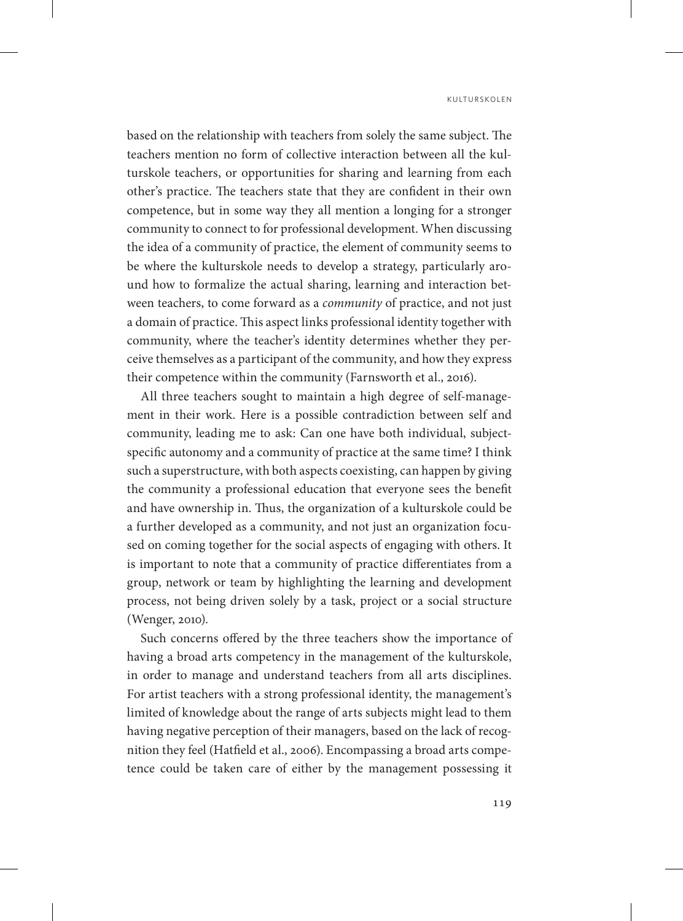based on the relationship with teachers from solely the same subject. The teachers mention no form of collective interaction between all the kulturskole teachers, or opportunities for sharing and learning from each other's practice. The teachers state that they are confident in their own competence, but in some way they all mention a longing for a stronger community to connect to for professional development. When discussing the idea of a community of practice, the element of community seems to be where the kulturskole needs to develop a strategy, particularly around how to formalize the actual sharing, learning and interaction between teachers, to come forward as a *community* of practice, and not just a domain of practice. This aspect links professional identity together with community, where the teacher's identity determines whether they perceive themselves as a participant of the community, and how they express their competence within the community (Farnsworth et al., 2016).

All three teachers sought to maintain a high degree of self-management in their work. Here is a possible contradiction between self and community, leading me to ask: Can one have both individual, subjectspecific autonomy and a community of practice at the same time? I think such a superstructure, with both aspects coexisting, can happen by giving the community a professional education that everyone sees the benefit and have ownership in. Thus, the organization of a kulturskole could be a further developed as a community, and not just an organization focused on coming together for the social aspects of engaging with others. It is important to note that a community of practice differentiates from a group, network or team by highlighting the learning and development process, not being driven solely by a task, project or a social structure (Wenger, 2010).

Such concerns offered by the three teachers show the importance of having a broad arts competency in the management of the kulturskole, in order to manage and understand teachers from all arts disciplines. For artist teachers with a strong professional identity, the management's limited of knowledge about the range of arts subjects might lead to them having negative perception of their managers, based on the lack of recognition they feel (Hatfield et al., 2006). Encompassing a broad arts competence could be taken care of either by the management possessing it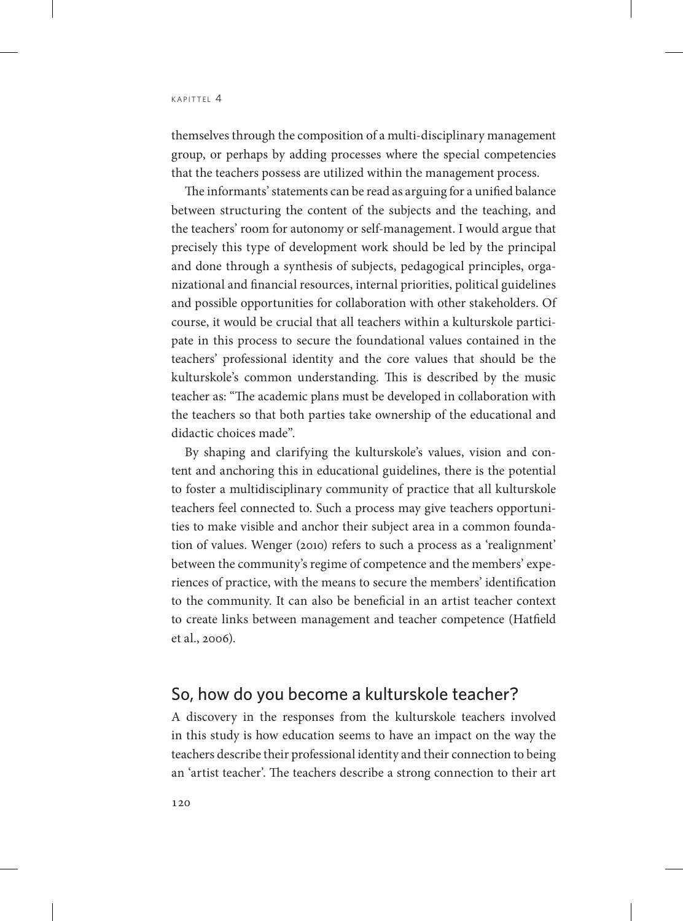themselves through the composition of a multi-disciplinary management group, or perhaps by adding processes where the special competencies that the teachers possess are utilized within the management process.

The informants' statements can be read as arguing for a unified balance between structuring the content of the subjects and the teaching, and the teachers' room for autonomy or self-management. I would argue that precisely this type of development work should be led by the principal and done through a synthesis of subjects, pedagogical principles, organizational and financial resources, internal priorities, political guidelines and possible opportunities for collaboration with other stakeholders. Of course, it would be crucial that all teachers within a kulturskole participate in this process to secure the foundational values contained in the teachers' professional identity and the core values that should be the kulturskole's common understanding. This is described by the music teacher as: "The academic plans must be developed in collaboration with the teachers so that both parties take ownership of the educational and didactic choices made".

By shaping and clarifying the kulturskole's values, vision and content and anchoring this in educational guidelines, there is the potential to foster a multidisciplinary community of practice that all kulturskole teachers feel connected to. Such a process may give teachers opportunities to make visible and anchor their subject area in a common foundation of values. Wenger (2010) refers to such a process as a 'realignment' between the community's regime of competence and the members' experiences of practice, with the means to secure the members' identification to the community. It can also be beneficial in an artist teacher context to create links between management and teacher competence (Hatfield et al., 2006).

### So, how do you become a kulturskole teacher?

A discovery in the responses from the kulturskole teachers involved in this study is how education seems to have an impact on the way the teachers describe their professional identity and their connection to being an 'artist teacher'. The teachers describe a strong connection to their art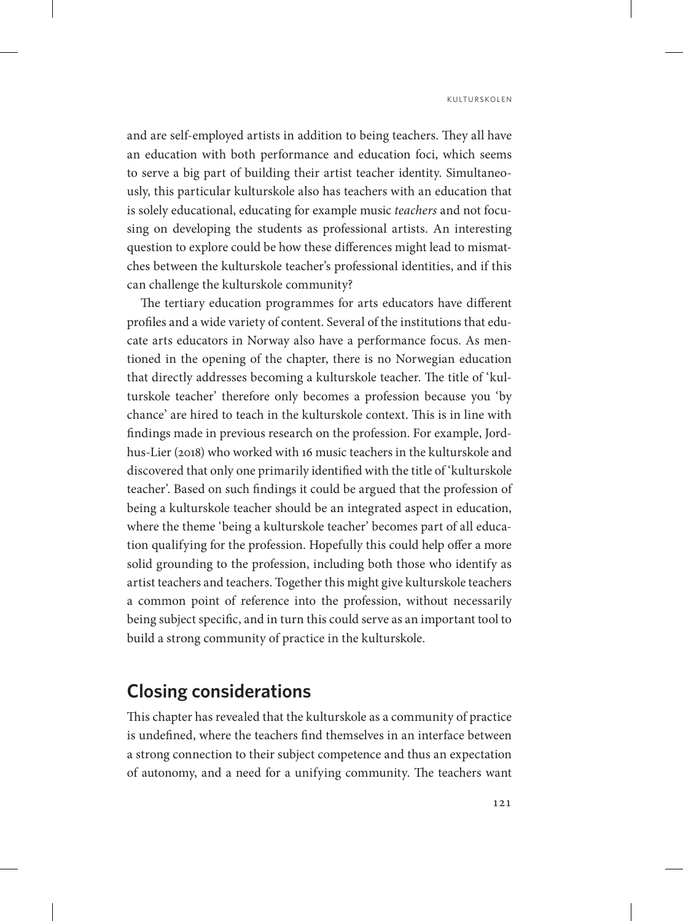and are self-employed artists in addition to being teachers. They all have an education with both performance and education foci, which seems to serve a big part of building their artist teacher identity. Simultaneously, this particular kulturskole also has teachers with an education that is solely educational, educating for example music *teachers* and not focusing on developing the students as professional artists. An interesting question to explore could be how these differences might lead to mismatches between the kulturskole teacher's professional identities, and if this can challenge the kulturskole community?

The tertiary education programmes for arts educators have different profiles and a wide variety of content. Several of the institutions that educate arts educators in Norway also have a performance focus. As mentioned in the opening of the chapter, there is no Norwegian education that directly addresses becoming a kulturskole teacher. The title of 'kulturskole teacher' therefore only becomes a profession because you 'by chance' are hired to teach in the kulturskole context. This is in line with findings made in previous research on the profession. For example, Jordhus-Lier (2018) who worked with 16 music teachers in the kulturskole and discovered that only one primarily identified with the title of 'kulturskole teacher'. Based on such findings it could be argued that the profession of being a kulturskole teacher should be an integrated aspect in education, where the theme 'being a kulturskole teacher' becomes part of all education qualifying for the profession. Hopefully this could help offer a more solid grounding to the profession, including both those who identify as artist teachers and teachers. Together this might give kulturskole teachers a common point of reference into the profession, without necessarily being subject specific, and in turn this could serve as an important tool to build a strong community of practice in the kulturskole.

# **Closing considerations**

This chapter has revealed that the kulturskole as a community of practice is undefined, where the teachers find themselves in an interface between a strong connection to their subject competence and thus an expectation of autonomy, and a need for a unifying community. The teachers want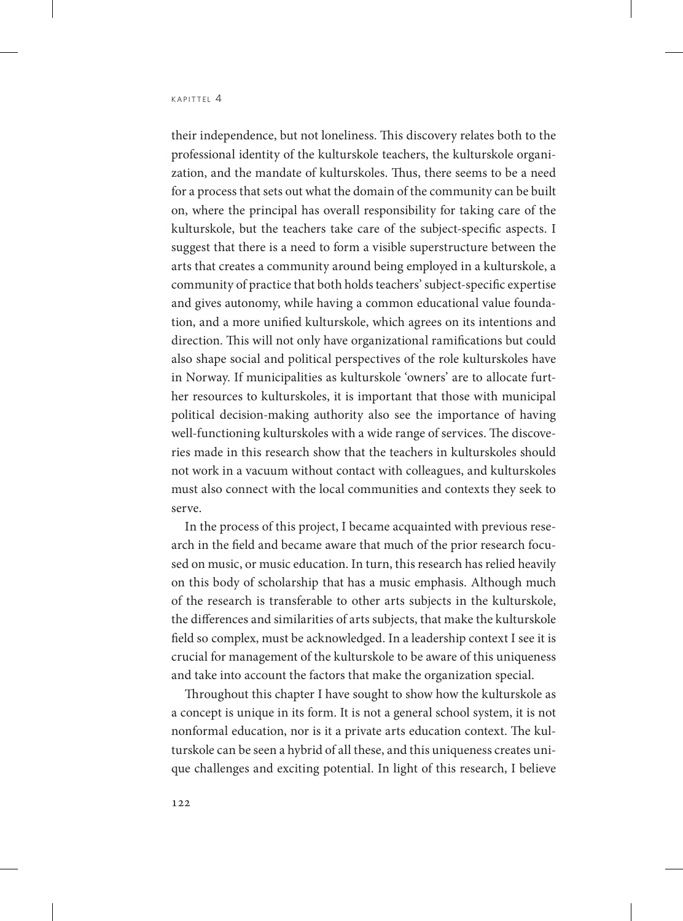their independence, but not loneliness. This discovery relates both to the professional identity of the kulturskole teachers, the kulturskole organization, and the mandate of kulturskoles. Thus, there seems to be a need for a process that sets out what the domain of the community can be built on, where the principal has overall responsibility for taking care of the kulturskole, but the teachers take care of the subject-specific aspects. I suggest that there is a need to form a visible superstructure between the arts that creates a community around being employed in a kulturskole, a community of practice that both holds teachers' subject-specific expertise and gives autonomy, while having a common educational value foundation, and a more unified kulturskole, which agrees on its intentions and direction. This will not only have organizational ramifications but could also shape social and political perspectives of the role kulturskoles have in Norway. If municipalities as kulturskole 'owners' are to allocate further resources to kulturskoles, it is important that those with municipal political decision-making authority also see the importance of having well-functioning kulturskoles with a wide range of services. The discoveries made in this research show that the teachers in kulturskoles should not work in a vacuum without contact with colleagues, and kulturskoles must also connect with the local communities and contexts they seek to serve.

In the process of this project, I became acquainted with previous research in the field and became aware that much of the prior research focused on music, or music education. In turn, this research has relied heavily on this body of scholarship that has a music emphasis. Although much of the research is transferable to other arts subjects in the kulturskole, the differences and similarities of arts subjects, that make the kulturskole field so complex, must be acknowledged. In a leadership context I see it is crucial for management of the kulturskole to be aware of this uniqueness and take into account the factors that make the organization special.

Throughout this chapter I have sought to show how the kulturskole as a concept is unique in its form. It is not a general school system, it is not nonformal education, nor is it a private arts education context. The kulturskole can be seen a hybrid of all these, and this uniqueness creates unique challenges and exciting potential. In light of this research, I believe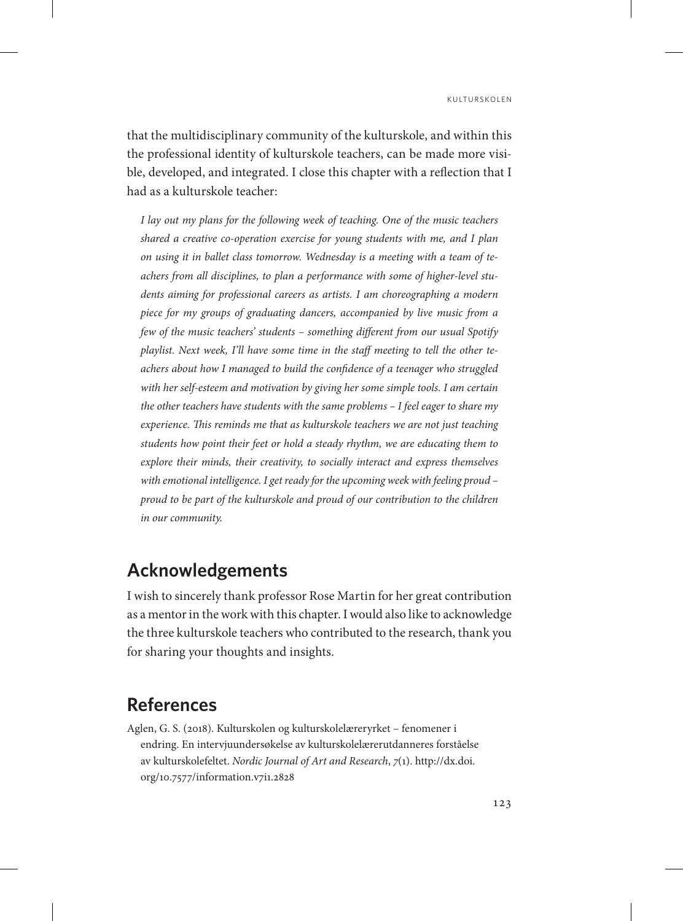that the multidisciplinary community of the kulturskole, and within this the professional identity of kulturskole teachers, can be made more visible, developed, and integrated. I close this chapter with a reflection that I had as a kulturskole teacher:

*I lay out my plans for the following week of teaching. One of the music teachers shared a creative co-operation exercise for young students with me, and I plan on using it in ballet class tomorrow. Wednesday is a meeting with a team of teachers from all disciplines, to plan a performance with some of higher-level students aiming for professional careers as artists. I am choreographing a modern piece for my groups of graduating dancers, accompanied by live music from a few of the music teachers' students – something different from our usual Spotify playlist. Next week, I'll have some time in the staff meeting to tell the other teachers about how I managed to build the confidence of a teenager who struggled with her self-esteem and motivation by giving her some simple tools. I am certain the other teachers have students with the same problems – I feel eager to share my experience. This reminds me that as kulturskole teachers we are not just teaching students how point their feet or hold a steady rhythm, we are educating them to*  explore their minds, their creativity, to socially interact and express themselves *with emotional intelligence. I get ready for the upcoming week with feeling proud – proud to be part of the kulturskole and proud of our contribution to the children in our community.*

# **Acknowledgements**

I wish to sincerely thank professor Rose Martin for her great contribution as a mentor in the work with this chapter. I would also like to acknowledge the three kulturskole teachers who contributed to the research, thank you for sharing your thoughts and insights.

### **References**

Aglen, G. S. (2018). Kulturskolen og kulturskolelæreryrket – fenomener i endring. En intervjuundersøkelse av kulturskolelærerutdanneres forståelse av kulturskolefeltet. *Nordic Journal of Art and Research*, *7*(1). [http://dx.doi.](http://dx.doi.org/10.7577/information.v7i1.2828) [org/10.7577/information.v7i1.2828](http://dx.doi.org/10.7577/information.v7i1.2828)